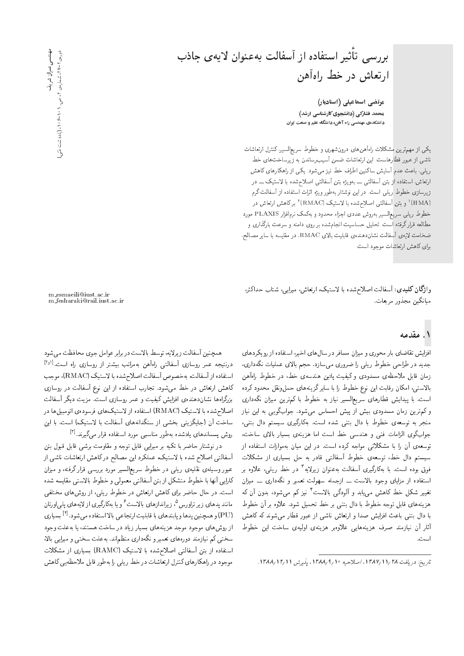# بررسی تأثیر استفاده از آسفالت بهعنوان لایهی جاذب ارتعاش در خط راهآهن

مرتضی اسماعیلی (استادیار*)* محمد فشارکی (دانشجوی کارشناسی ارشد) دانشکدهی مهندسی راه آهن، دانشگاه علم و صنعت ایران

یکی از مهمترین مشکلات راهآهن های درون شهری و خطوط سریعالسیر، کنترل ارتعاشات ناشبی از عبور قطارهاست. این ارتعاشات ضمن آسیب رساندن به زیرساخت های خط ریلی، باعث عدم آسایش ساکنین اطراف خط نیز می شود. یکی از راهکارهای کاهش ارتعاش، استفاده از بتن أسفالتي ـــ بهويژه بتن أسفالتي اصلاح شده با لاستيک ـــ در زیرسازی خطوط ریلی است. در این نوشتار بهطور ویژه اثرات استفاده از آسفالت گرم (HMA)' و بتن أسفالتى اصلاح شده با لاستيک (RMAC)' بركاهش ارتعاش در<br>ساماسا خطوط ريلي سريع|لسير بهروش عددى اجزاء محدود و بهكمك نرم|فزار PLAXIS مورد مطالعه قرارگرفته |ست. تحلیل حساسیت انجامشده بر روی دامنه و سرعت بارگذاری و ضخامت لايهى أسفالت نشاندهندهى قابليت بالاى RMAC، در مقايسه با ساير مصالح، برای کاهش ارتعاشات موجود است.

وا**زگان کلیدی**: آسفالت اصلاح شده با لاستیک، ارتعاش، میرایی، شتاب حداکثر، ميانگين مجذور مربعات.

## ۱. مقدمه

افزایش تقاضای بار محوری و میزان مسافر در سال های اخیر، استفاده از رویکردهای جدید در طراحی خطوط ریلی را ضروری می سازد. حجم بالای عملیات نگهداری، زمان قابل ملاحظهى مسدودى وكيفيت پائين هندسهى خط، در خطوط راهآهن بالاستبى، امكان رقابت اين نوع خطوط را با ساير گزينههاى حملونقل محدود كرده است. با پیدایش قطارهای سریع|لسیر نیاز به خطوط با کمترین میزان نگهداری و کم ترین زمان مسدودی بیش از پیش احساس میشود. جوابگویی به این نیاز منجر به توسعهى خطوط با دال بتنى شده است. بهكارگيرى سيستم دال بتنى، جوابگوی الزامات فنی و هندسی خط است اما هزینهی بسیار بالای ساخت، توسعه ی آن را با مشکلاتی مواجه کرده است. در این میان بهموازات استفاده از سیستم دال خط، توسعهی خطوط آسفالتی قادر به حل بسیاری از مشکلات فوق بوده است. با بەكاركيرى اسفالت بەعنوان زيرلايە ' در خط ريلى، علاوه بر<br>استانسانسانلىكى الاد استفاده از مزایای وجود بالاست ـــ ازجمله سهولت تعمیر و نگهداری ـــ میزان تغییر شکل خط کاهش مییابد و الودکی بالاست' نیز کم میشود، بدون ان که<br>استفاده استفاده میشد که ایران میند و استفاده برای میدان هزينههاى قابل توجه خطوط با دال بتنى بر خط تحميل شود. علاوه بر آن خطوط با دال بتنی باعث افزایش صدا و ارتعاش ناشبی از عبور قطار می شوند که کاهش آثار آن نیازمند صرف هزینههایی علاوهبر هزینهی اولیهی ساخت این خطوط است.

m esmaeili@iust.ac.ir m fesharaki@rail.iust.ac.ir

همچمین اسفانت زیردیه، نوسط بادست در برابر عوامل جوی محافظت می سود<br>درنتیجه عمر روسازی آسفالتی راهآهن بهمراتب بیشتر از روسازی راه است.<sup>[۱۶]</sup><br>استار استراتش استفاده از آسفالت، بهخصوص آسفالت اصلاح شده با لاستیک (RMAC)، موجب<br>کاهش ارتعاش در خط می شود. تجارب استفاده از این نوع آسفالت در روسازی تاهس ارتعاس در حصا می سود. نجارب استفاده از این نوع اسفانت در روسازی<br>گران استاد میکند از این کرد بزردراهها تسان(دهندهی افزایس کیفیت و عمر روسازی است. مزیت دیدر اسفالت<br>اسلامی: سالامیک COARA OU= اسلسطین کرد: اصلاح شده با لاستیک (RMAC) استفاده از لاستیکهای فرسودهی اتومبیل ها در ساخت آن (جایگزینی بخشی از سنگدانههای آسفالت با لاستیک) است. با این روش پسماندهای یادشده بهطور مناسببی مورد استفاده قرار میگیرند.<sup>[۲]</sup><br>مناطقه این مطالعه استفاده استفاده

در نوشتار حاضر با تکیه بر میرایی قابل توجه و مقاومت برشی قابل قبول بتن آسفالتی اصلاح شده با لاستیک، عملکرد این مصالح درکاهش ارتعاشات ناشی از عبور وسیلهی نقلیهی ریلی در خطوط سریع|لسیر مورد بررسی قرار گرفته، و میزان كارايي أنها با خطوط متشكل از بتن أسفالتي معمولي و خطوط بالاستبي مقايسه شده است. در حال حاضر برای کاهش ارتعاش در خطوط ریلی، از روش های مختلفی مانند پدهای زیر تراورس"، زیراندازهای بالاست ′ و یا بهکارکیری از لایههای پلی[ورتان<br>OUU (PU) و همچنین پدها و پابندهای با قابلیت ارتجاعی بالا استفاده میشود.<sup>[۴]</sup> بسیاری<br>ا از روش های موجود موجد هزینههای بسیار زیاد در ساخت هستند، یا به علت وجود سختی کم نیازمند دورههای تعمیر و نگهداری منظماند. بهعلت سختی و میرایی بالا، استفاده از بتن أسفالتي اصلاح شده با لاستيک (RAMC) بسياري از مشکلات موجود در راهكارهاى كنترل ارتعاشات در خط ريلى را بهطور قابل ملاحظهيى كاهش

مهمندسس،عمولن شویف<br>دوره<br>تا ۲-۲۷ شمارهای ۲، ص. ۱۰۵–۱۶۰۶ (یادداشت فشی مهندسی عمران شریف دوره کا ۷-۲ ا، شماره ی ۲، ص. ۱ ه ۲-۶ م. (یادداشت فنش)

تاريخ: دريافت ١٢٨١/١/١٣٨٨، اصلاحيه ١٣٨٨/٩/١٢ يديرش ١٢/١٢/١٣٨٨.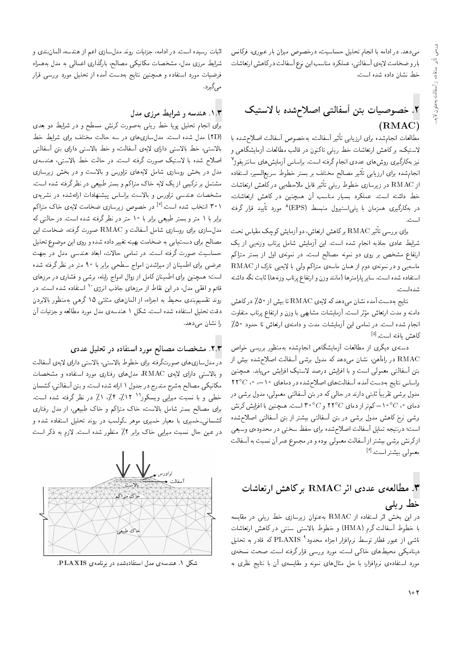می,دهد. در ادامه با انجام تحلیل حساسیت، درخصوص میزان بار عبوری، فرکانس بارو ضخامت لايهى أسفالتي، عملكرد مناسب اين نوع أسفالت دركاهش ارتعاشات خط نشان داده شده است.

## ۲. خصوصیات بتن آسفالتی اصلام شده با لاستیک (RMAC)

مطالعات انجام شده برای ارزیابی تاثیر اسفالت، به خصوص اسفالت اصلاح شده با<br>ادب کے مطالع العاملیت المساح العاملیت العاملیت العام گا لاستیک، برکاهش ارتعاشات خط ریلی تاکنون در قالب مطالعات آزمایشگاه<sub>ی</sub> و نیز بهکارکیری روش های عددی انجام کرفته است. براساس ازمایش های سانتریفوژ'<br>این این سول ایران سانستانی است. این سول ایران نير مصالح محتلف بر بستر خطوط سريع السير، استقاده<br>- با با سال مؤهبة المعظم المعظم المعظم المعاملة انجامشده برای ارزیابی تأثیر مصالح مختلف بر بستر خطوط سریع|لسیر، استفاده از RMAC در زیرسازی خطوط ریلی تاثیر قابل ملاحظهیی درکاهش ارتعاشات<br>مطوله این مطول ایران خط داشته است. عملکرد بسیار مناسب آن همچنین در کاهش ارتعاشات، در بهکارگیری همزمان با پلمی|ستیرول منبسط (EPS)^ مورد تایید قرار گرفته<br>است اسب.<br>-

برای بررسی تاثیر RMAC برکاهش ارتعاش، دو آزمایش کوچک مقیاس تحت<br>استاد شرایط عادی جاذبه انجام شده است. این آزمایش شامل برتاب وزنهیی از یک ارتفاع مشخص بر روی دو نمونه مصالح است. در نمونهی اول از بستر متراکم ماسهیی و در نمونهی دوم از همان ماسهی متراکم ولی با لایهیی نازک از RMAC استفاده شده است. ساير پارامترها (مانند وزن و ارتفاع پرتاب وزنهها) ثابت نگه داشته شدهاست.

نتايج به دست آمده نشان مىدهد كه لايهى RMAC تا بيش از ۵۰٪ دركاهش داميه و مدت ارتعاس موتر است. آزمايسات مسابهي با وزن و ارتفاع پرتاب متفاوت<br>استاد میسا - انجام سده است. در نمامی این ازمایسات مدت و دامنهی ارتعاس با حدود °U,<br>صلحت التعالیت ا کاهش یافته است.<sup>[۵]</sup><br>ح

دستهی دیگری از مطالعات أزمایشگاهی انجامشده بهمنظور بررسی خواص RMAC در راهآهن، نشان میدهد که مدول برشی أسفالت اصلاحشده بیش از بتن أسفالتي معمولي است و با افزايش درصد لاستيک افزايش مىيابد. همچنين  $278^\circ C$  'براساس نتايج بهدست آمده، آسفالت هاى اصلاح شده در دماهاى ١٠-٠، ٢٢° مذول برشی تقریباً تابتی دارند در حالی که در بتن اسفالتی معمولی، مذول برشی در<br>سال این این این این کوه به این کوه این این این این این این این این این من دمای ۱۰ $^{\circ}$ ۰/ خمتر از دمای  $C$ ۲۲° و ۳۰ $^{\circ}$ ۳ است. همچنین با افزایش کرنش برشی نرخ کاهش مدول برشی در بتن أسفالتی بیشتر از بتن أسفالتی اصلاحشده است؛ درنتیجه تمایل أسفالت اصلاحشده برای حفظ سختی در محدوده یوسیعی ازکرنش برشی بیشتر از آسفالت معمولی بوده و در مجموع عمر آن نسبت به آسفالت معمول<sub>ی</sub> بیشتر است.<sup>[۶]</sup>

## ا مطالعهى عددى اثر  $\rm RMAC$  بركاهش ارتعاشات " خط ریلی

 $k$ در این بخش اثر استفاده از  ${\rm RMAC}$  به عنوان زیرسازی خط ریلمی در مقایسه با خطوط أسفالت گرم (HMA) و خطوط بالاستبی سنتبی در کاهش ارتعاشات ناشی از عبور قطار توسط نرم|فزار اجزاء محدود`` PLAXIS که قادر به تحلیل<br>مطالب کوچک اسلمان ناکر است دینامیکی محیط های خاکی است، مورد بررسی قرار گرفته است. صحت نسخهی مورد استفاده ی نرم|فزار، با حل مثال های نمونه و مقایسه ی آن با نتایج نظری به

اثبات رسیده است. در ادامه، جزئیات روند مدلسازی اعم از هندسه، المان بندی و شرایط مرزی مدل، مشخصات مکانیکی مصالح، بارگذاری اعمالی به مدل بههمراه فرضیات مورد استفاده و همچنین نتایج بهدست آمده از تحلیل مورد بررسی قرار مے گیرد.

### ۰۱.۳ هندسه و شرایط مرزی مدل

برای انجام تحلیل پویا خط ریلی بهصورت کرنش مسطح و در شرایط دو بعدی (٢D) مدل شده است. مدلسازیهای در سه حالت مختلف برای شرایط خط بالاستى، خط بالاستى داراى لايەى آسفالت، و خط بالاستى داراى بتن آسفالتى اصلاح شده با لاستیک صورت گرفته است. در حالت خط بالاستبی، هندسهی مدل در بخش روسازی شامل لایههای تراورس و بالاست و در بخش زیرسازی مشتمل بر ترکیبی از یک لایه خاک متراکم و بستر طبیعی در نظر گرفته شده است. مشخصات هندسی تراورس و بالاست براساس پیشنهادات ارائهشده در نشریهی ۳۰۱ انتخاب شده است.<sup>[۷]</sup> در خصوص زیرسازی ضخامت لایهی خاک متراکم<br>با مطالبا برابر با ۱ متر و بستر طبیعی برابر با ۱۰ متر در نظر گرفته شده است. در حالتبی که مدل سازی برای روسازی شامل أسفالت و RMAC صورت گرفته، ضخامت این مصالح برای دست یابی به ضخامت بهینه تغییر داده شده و روی این موضوع تحلیل حساسیت صورت گرفته است. در تمامی حالات، ابعاد هندسی مدل در جهت عرضی برای اطمینان از میراشدن امواج سطحی برابر با ۹۰ متر در نظرگرفته شده است؛ همچنین برای اطمینان کامل از زوال امواج رایله، برشی و فشاری در مرزهای قائم و افقی مدل، در این نقاط از مرزهای جاذب انرژی<sup>۰٬</sup> استفاده شده است. در روند تقسیم.بندی محیط به اجزاء، از المانهای مثلثی ۱۵ گرهی بهمنظور بالابردن دقت تحليل استفاده شده است. شكل ١ هندسهى مدل مورد مطالعه و جزئيات أن را نشان مىدهد.

### ۲.۳. مشخصات مصالح مورد استفاده در تحلیل عددی

در مدل سازی های صورتگرفته برای خطوط بالاستی، بالاستی دارای لایهی آسفالت و بالاستبى داراى لايهى RMAC، مدل هاى رفتارى مورد استفاده و مشخصات مکانیکی مصالح بهشرح مندرج در جدول ۱ ارائه شده است. و بتن آسفالتی، کشسان خطی و با نسبت میرایی ویسکوز'' ۰٫۴ ، ۴٫٪ ، ۸٪ در نظر کرفته شده است.<br>با سالمان استفاده ایران این مسئل میران برای مصالح بستر شامل بالاست، خاک متراکم و خاک طبیعی، از مدل رفتاری کشسانی-خمیری با معیار خمیری موهر کولمب در روند تحلیل استفاده شده و در عین حال نسبت میرایی خاک برابر ۲٪ منظور شده است. لازم به ذکر است



شکل ۱. هندسهی مدل استفادهشده در برنامهی PLAXIS.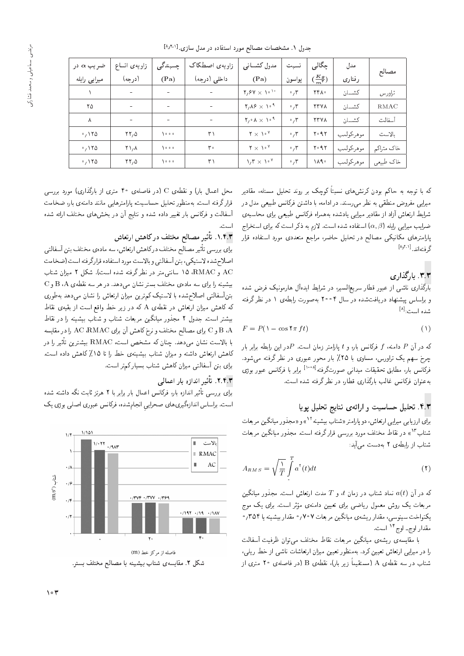| ضريب $\alpha$ در | زاويەى اتساع             | چسبندگی                      | زاويهى اصطكاك                | مدول کشسانی                                                        | نسىت                   | جگالی            | مدل        |             |
|------------------|--------------------------|------------------------------|------------------------------|--------------------------------------------------------------------|------------------------|------------------|------------|-------------|
| میرایی رایله     | (درجه)                   | (Pa)                         | داخلی (درجه)                 | (Pa)                                                               | پواسون                 | $\frac{Kg}{m^*}$ | رفتاري     | مصالح       |
|                  | ۰                        | ۰                            | ۰                            | $Y, Y \times Y$                                                    | $\cdot$ , $\mathsf{r}$ | ۲۴۸۰             | كشسان      | تراورس      |
| ۲۵               | $\overline{\phantom{0}}$ | $\qquad \qquad \blacksquare$ | $\qquad \qquad \blacksquare$ | $Y_{1}$ $\lambda$ $9$ $\times$ $\lambda$ $\circ$ $\lambda$         | $\cdot$ , $\mathsf{r}$ | <b>TTVA</b>      | كشسان      | <b>RMAC</b> |
| Λ                | $\overline{\phantom{0}}$ | ۰                            | $\overline{\phantom{a}}$     | $\mathbf{Y}_1 \cdot \mathbf{A} \times \mathbf{A} \cdot \mathbf{A}$ | $\cdot$ , $\mathsf{r}$ | <b>TTVA</b>      | كشسان      | أسفالت      |
| .110             | YY,0                     | $\sqrt{200}$                 | ۳۱                           | $Y \times 10^{9}$                                                  | $\cdot$ , ۳            | ۲۰۹۲             | موهر-كولمب | بالاست      |
| .110             | $\Upsilon \setminus A$   | 1000                         | ۳۰                           | $Y \times 10^{9}$                                                  | $\cdot$ , $\mathsf{r}$ | $Y \circ 9Y$     | موهر-كولمب | خاک متراکم  |
| .110             | YY,0                     | $\sqrt{200}$                 | ۳۱                           | $1/\Gamma \times 10^9$                                             | $\cdot$ , $\mathsf{r}$ | ۱۸۹۰             | موهر-كولمب | خاک طبیعی   |

که با توجه به حاکم بودن درنش&ای نسبتاً دوچک بر روند تحلیل مسئله، مقادیر<br>با مستقل میلی میدانیم میلیان از این مسئل این منصوب با میلی میرایی مفروض منطقی به نظر می رسند. در ادامه، با داشتن فرکانس طبیعی مدل در شرایط ارتعاش آزاد از مقادیر میرایی یادشده بههمراه فرکانس طبیعی برای محاسبهی ضرایب میرایی رایله  $(\alpha,\beta)$  استفاده شده است. لازم به ذکر است که برای استخراج پارامترهای مکانیکی مصالح در تحلیل حاضر، مراجع متعددی مورد استفاده قرار گرفته|ند.<sup>[۱٬۱</sup>۰<sup>۱]</sup><br>-

۳.۳. بارگذاری<br>بارگذاری ناشبی از عبور قطار سریعالسیر، در شرایط ایدهآل هارمونیک فرض شده بارنداری ناسی از عبور فضار سریع اسین در سرایط ایدهال هارموبیک درص سده<br>استان استبار است این است و براساس پیسهاد دریافت سده در سال ۱۳۳۱ بهصورت رابطهی ۱ در نظر درفته<br>مسلسلسله شده است:<sup>[۸]</sup><br>-

$$
F = P(\lambda - \cos \lambda \pi f t) \tag{1}
$$

که در آن  $P$  دامنه،  $f$  فرکانس بار، و  $t$  پارلمتر زمان است.  $P$ در این رابطه برابر بار چرخ سهم یک تراورس، مساوی با ۲۵٪ بار محور عبوری در نظر گرفته می شود. فرکانس بار، مطابق تحقیقات میدانی صورتگرفته<sup>[۱۰۰</sup>۸] برابر با فرکانس عبور بوژی<br>ماریخ استفاده ایران ایجان میتالیمی بنایج نیسمبری استفاده به عنوان فركانس غالب بارگذارى قطار. در نظر گرفته شده است.

### ۴.۳. تحلیل حساسیت و ارائهی نتایج تحلیل پویا

برای ارزیابی میرایی ارتعاش، دو پارامتر «شتاب بیشینه ' ' » و «مجدور میانگین مربعات<br>میلم ۱۳ شتاب '' » در نقاط مختلف مورد بررسی قرار کرفته است. مجدور میانکین مربعات<br>. . . . . . . . . . . . . شتاب از رابطهی ۲ بهدست می آید:

$$
A_{RMS} = \sqrt{\frac{1}{T}} \int_{0}^{T} a^{t}(t)dt
$$
 (7)

که در آن  $a(t)$  نماد شتاب در زمان  $t$ ، و  $T$  مدت ارتعاش است. مجذور میانگین<br>مربعات یک روش معمول ریاضی برای تعیین دامنهی مؤثر است. برای یک موج Gwt l} |=Q@ "CU= QF - wt |xvt=O u}}aD |=Q@ |[=}Q pwtat VwQ l} C=a@ Qt یکنوآخت سینوسی، مقدار ریسهی میآنگین مربعات ۲۰۲۲ مقدار بیسیمه یا ۳/۱۵۱<br>تعداد است استگل مقدار اوج ـ اوج<sup>۱۴</sup> است.

با مقايسه ى ريشه ى ميانكين مربعات نقاط مختلف مى توان ظرفيت أسفالت را در میرایی ارتعاش تعیین کرد. بهمنظور تعیین میزان ارتعاشات ناشی از خط ریلی، شتاب در سه نقطهى A (مستقيماً زير بار). نقطهى B (در فاصلهى ٢٥ مترى از

محل اعمال بار) و نقطهى C (در فاصلهى ۴۰ مترى از بارگذارى) مورد بررسى قرار گرفته است. بهمنظور تحلیل حساسیت، پارلمترهایی مانند دامنهی بار، ضخامت آسفالت و فرکانس بار تغییر داده شده و نتایج آن در بخش های مختلف ارائه شده است.<br>**س**اعت

### ۰۱.۴.۳ تأثی<sub>رِ</sub> مصالح مختلف درکاهش ارتعاش

برای بررسی تاثیر مصالح مختلف در کاهش ارتعاش، سه مادهی مختلف بتن اسفالتی<br>اسلامیت از محمد کوست آمینا استفاده اصلاح شده لاستيكي، بتن أسفالتي و بالاست مورد استفاده قرارگرفته است (ضخامت و RMAC، 10 سانتى متر در نظر گرفته شده است). شكل ۲ ميزان شتاب  $\mathrm{C}$  بیشینه را برای سه مادهی مختلف بستر نشان میدهد. در هر سه نقطهی  $\mathrm{A}$  و  $\mathrm{D}$ بتنآسفالتی اصلاح شده با لاستیک کمترین میزان ارتعاش را نشان می دهد به طوری که کاهش میزان ارتعاش در نقطهی A که در زیر خط واقع است از بقیهی نقاط بیشتر است. جدول ۲ مجذور میانگین مربعات شتاب و شتاب بیشینه را در نقاط  $\times$ و  $\times$  بوای مصالح مختلف و نرخ کاهش آن برای AC ، $\textrm{RMAC}$  را در مقایسه  $\times$  A با بالاست نشان میدهد. چنان که مشخص است، RMAC بیشترین تاثیر را در<br>کاری با تواهیم است كاهش ارتعاش داشته و ميزان شتاب بيشينهى خط را تا ١٥٪ كاهش داده است. برای بتن آسفالتی میزان کاهش شتاب بسیار کمتر است.

## ۲.۴.۳ . تأثیر اندازه بار اعمالی

برای بررسی تاتیر اندازه بار، فردانس اعمال بار برابر با ۲ هرتز تابت نده داشته شده<br>استفادات این ایجاد استفاده است. براساس اندازهگیری های صحرایی انجام شده، فرکانس عبوری اصلی بوژی یک



شکل ۲. مقایسهی شتاب بیشینه با مصالح مختلف بستر.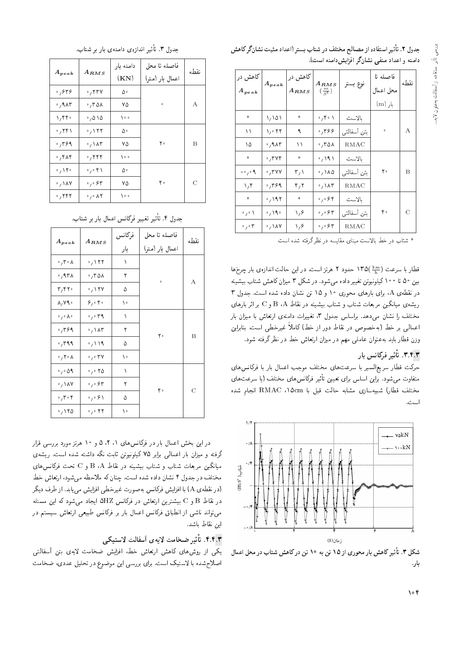| جدول ۲. تأثیر استفاده از مصالح مختلف در شتاب بستر (اعداد مثبت نشانگر کاهش |  |
|---------------------------------------------------------------------------|--|
| دامنه و اعداد منفی نشانگر افزایش دامنه است).                              |  |

| کاهش در<br>$A_{peak}$          | $A_{peak}$                | کاهش در<br>$A_{RMS}$ | $A_{RMS}$<br>$\left(\frac{m}{S^{\dagger}}\right)$ | نوع بستر    | فاصله نا<br>محل اعمال | نقطه          |
|--------------------------------|---------------------------|----------------------|---------------------------------------------------|-------------|-----------------------|---------------|
|                                |                           |                      |                                                   |             | بار (m)               |               |
| *.                             | ۱٫۱۵۱                     | *                    | $\circ$ , $\uparrow \circ \uparrow$               | بالاست      |                       |               |
| ۱۱                             | ۲۲ ۱٫۰                    | ٩                    | ٬۳۶۶                                              | بتن آسفالتی | $\circ$               | A             |
| ۱۵                             | $\cdot$ , 9 $\wedge$ ۳    | ۱۱                   | ٬٫۳۵۸                                             | RMAC        |                       |               |
| *.                             | .744                      | *                    | $\cdot$ / 191                                     | بالاست      |                       |               |
| $-0.09$                        | $\cdot$ , $\mathsf{r}$ yy | ۳٫۱                  | $\cdot$ , ۱۸۵                                     | بتن آسفالتی | ٢۰                    | B             |
| $\mathcal{N}$                  | ۶۹ ق.                     | ۴٫۲                  | $\cdot$ , \ $\wedge\tau$                          | <b>RMAC</b> |                       |               |
| *.                             | $\cdot$ , 197             | *                    | $\circ$ , $\circ$ $\circ$ ۴                       | بالاست      |                       |               |
| $\circ$ , $\circ$ $\wedge$     | $\cdot$ , $\sqrt{9}$      | ۱٬۶                  | ۶۳ ق.ره                                           | بتن آسفالتی | ۴۰                    | $\mathcal{C}$ |
| $\cdot$ , $\cdot$ $\mathsf{r}$ | $\cdot$ , \ $\lambda$ Y   | ۱٬۶                  | $\circ$ , $\circ$ $\circ$ $\ast$                  | RMAC        |                       |               |

\* شتاب در خط بالاست مبناى مقايسه در نظر گرفته شده است.

قطار با سرعت ( ۱۳۵ کسود ۲ هرتز است. در این حالت اندازهی بار چرخها<br>مده با مدیر کیلیست به سال میشود که کار تاریخ میکنند و کار میشود. بین ۵۰ تا ۱۰۰ کیلونیوتن تغییر داده می شود. در شکل ۳ میزان کاهش شتاب بیشینه در نقطهی A، برای بارهای محوری ١٥ و ١٥ تن نشان داده شده است. جدول ٣ ریشهی میانگین مربعات شتاب و شتاب بیشینه در نقاط B،A و C بر اثر بارهای مختلف را نشان می،دهد. براساس جدول ۳، تغییرات دامنهی ارتعاش با میزان بار اعمالی بر خط (بهخصوص در نقاط دور از خط) کاملاً غیرخطی است. بنابراین وزن قطار باید به عنوان عاملی مهم در میزان ارتعاش خط در نظر گرفته شود.

### ۳.۴.۳. تأثير فركانس بار

حرکت قطار سریع|لسیر با سرعتهای مختلف موجب اعمال بار با فرکانس های متقاوت میشود. براین اساس برای تعیین تاتیر فرکانس های مختلف (یا سرعت های<br>مقداران مقدار این مقدار است و این سواران مقدار استفاده این این مختلف قطار) شبیهسازی مشابه حالت قبل با RMAC انجام شده است.



شکل ۳. تأثیرکاهش بار محوری از ۱۵ تن به ۱۰ تن درکاهش شتاب در محل اعمال<br>ا بار.

"?=DW Q@ Q=@ |xvt=O |xR=Ov= Q}F -=D "3 pwOH

| $A_{peak}$                 | $A_{RMS}$                             | دامنه بار | فاصله تا محل    | نقطه          |  |
|----------------------------|---------------------------------------|-----------|-----------------|---------------|--|
|                            |                                       | (KN)      | اعمال بار (متر) |               |  |
| ٬٫۶۳۶                      | $\cdot$ , $\mathsf{rrv}$              | ۵۰        |                 |               |  |
| ۸۳ ۰٫۹                     | $\cdot$ , ۳۵۸                         | ٧۵        | $\circ$         | А             |  |
| $\mathcal{N}$              | $\cdot$ , $\Delta \setminus \Delta$   | ه ۱       |                 |               |  |
| $\cdot$ ,۲۴۱               | $\cdot$ , ۱۲۲                         | ۵۰        |                 |               |  |
| ۶۹ ق.                      | $\cdot$ , $\wedge\wedge\tau$          | ٧۵        | ۲۰              | В             |  |
| ۰٬۴۸۴                      | $\cdot$ , ۲۴۴                         | ه ۱       |                 |               |  |
| $\cdot$ / $\uparrow \cdot$ | $\circ$ , $\circ$ $\uparrow$ $\wedge$ | ۵۰        |                 |               |  |
| $\cdot$ , \ $\wedge$ Y     | $\circ$ , $\circ$ $\circ$ $\circ$     | ٧۵        | ۴۰              | $\mathcal{C}$ |  |
| $\cdot$ , ۲۴۴              | $\circ$ , $\circ$ $\wedge$ $\wedge$   | ه ۱       |                 |               |  |

"?=DW Q@ Q=@ p=ta= Tv=mQi Q}}eD Q}F -=D "4 pwOH

|                                    | $A_{RMS}$                                   | فركانس    | فاصله تا محل    | نقطه           |
|------------------------------------|---------------------------------------------|-----------|-----------------|----------------|
| $A_{peak}$                         |                                             | بار       | اعمال بار (متر) |                |
| $\cdot$ , ۳ $\cdot$ ۸              | $\cdot$ , $\setminus$ $\uparrow$ $\uparrow$ | $\lambda$ |                 |                |
| ٬٫۹۳۸                              | ٬٫۳۵۸                                       | ٢         | $\bullet$       |                |
| $\mathbf{r}, \mathbf{r}$           | $\cdot$ , $\uparrow$ Y V                    | ۵         |                 | А              |
| $\lambda, \nu$                     | 8,0.6                                       | ١٠        |                 |                |
| $\circ$ , $\circ$ $\wedge$ $\circ$ | $\cdot$ , $\cdot$ $\cdot$ 9                 | ١         |                 |                |
| $\cdot$ , ۳۶۹                      | $\cdot$ , \ $\wedge\tau$                    | ٢         | ٢٠              | B              |
| $\cdot$ , ۳۹۹                      | $\cdot$ / \ \ 9                             | ۵         |                 |                |
| $\circ$ , $\uparrow \circ \wedge$  | $\cdot$ , $\cdot$ rv                        | ١٠        |                 |                |
| $\circ$ , $\circ$ 09               | $\cdot$ , $\cdot$ $\cdot$ $\circ$           | ١         |                 |                |
| $\cdot$ , \ $\lambda$ Y            | $\cdot$ , $\cdot$ $\cdot$ $\cdot$           | ٢         | ۴۰              | $\overline{C}$ |
| $\cdot$ , ۳ $\cdot$ ۴              | $\circ$ , $\circ$ $\circ$ $\wedge$          | ۵         |                 |                |
| $\cdot$ , $\cdot$ $\cdot$          | $\circ$ , $\circ$ $\uparrow \uparrow$       | ١٠        |                 |                |

در این بحس اعمال بار در فرنامس های ۱۰۱ '۵ و ۱۰ هربز مورد بررسی قرار<br>این این این این مورد کاربری هایی که این مصدر این مورد درفته و میزان بار اعمالی برابر ۲۵ کیلونیوین تابت بکه داشته سده است. ریسه ی<br>سابر کارم میانگین مربعات شتاب و شتاب بیشینه در نقاط B ،A و C تحت فرکانس های مختلف در جدول ۴ نشان داده شده است. چنان که ملاحظه می شود، ارتعاش خط (در نقطهى A) با افزايش فركانس به صورت غيرخطى افزايش مى يابد. از طرف ديگر  $\tt C$ ور نقاط  $\tt B$  و $\tt C$  بیشترین ارتعاش در فرکانس  $\tt HZ$  ایجاد می $\tt \omega$ شود که این مسئله می تواند ناشبی از انطباق فرکانس اعمال بار بر فرکانس طبیعی ارتعاش سیستم در اين نقاط باشد.

### ۴.۴.۳. تأثير ضخامت لايەى أسفالت لاستيكى

يكى از روش هاى كاهش ارتعاش خط، افزايش ضخامت لايهى بتن أسفالتبي اصلاح شده با لاستیک است. برای بررسی این موضوع در تحلیل عددی، ضخامت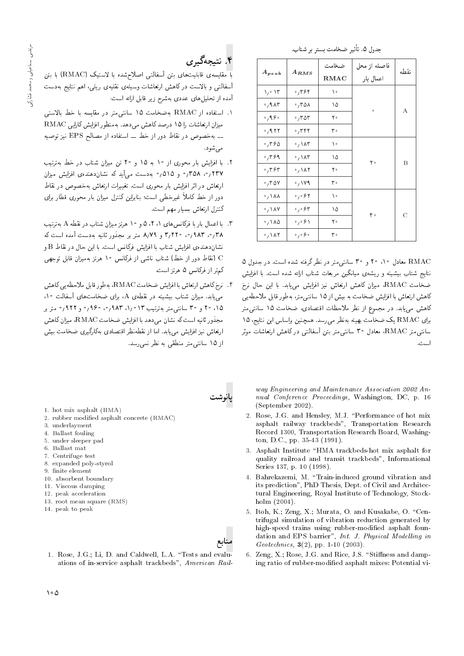| جدول ۵. تأثير ضخامت بستر بر شتاب. |
|-----------------------------------|
|-----------------------------------|

| $A_{peak}$                              | $A_{RMS}$                          | ضخامت | فاصله از محل | نقطه |  |
|-----------------------------------------|------------------------------------|-------|--------------|------|--|
|                                         |                                    | RMAC  | اعمال بار    |      |  |
| ۱٫۰ ۱۳                                  | ٬٫۳۶۴                              | ۱۰    |              |      |  |
| $\cdot$ , 9 $\wedge$ ۳                  | $\cdot$ , ۳۵۸                      | ۱۵    | $\bullet$    | А    |  |
| $\circ$ , 9.8 $\circ$                   | $\cdot$ , ۳۵۳                      | ۲۰    |              |      |  |
| $\cdot$ $.957$                          | $\cdot$ , ۳۴۴                      | ۳.    |              |      |  |
| .7780                                   | $\cdot$ , $\wedge \wedge \tau$     | ١٠    |              |      |  |
| $\cdot$ , $\mathcal{r}$ $\mathcal{S}$ 9 | $\cdot$ , ۱۸۳                      | ۱۵    | ۲۰           | В    |  |
| ۶٬۳۶۳                                   | $\cdot$ , $\lambda$ ۲              | ٢۰    |              |      |  |
| $\cdot$ , ۳۵۷                           | $\cdot$ , ۱۷۹                      | ۳۰    |              |      |  |
| 。 ハハハ                                   | ۶۲ ق.ره                            | ١٠    |              |      |  |
| $\cdot$ , \ $\wedge$ Y                  | $\circ$ , $\circ$ $\circ$ $\circ$  | ۱۵    | ۴۰           | C    |  |
| $\cdot$ , \ $\lambda \Delta$            | $\circ$ , $\circ$ $\circ$ $\wedge$ | ٢۰    |              |      |  |
| $\cdot$ , \ $\wedge$ \r                 | $\circ$ , $\circ$ $\circ$ $\circ$  | ۳.    |              |      |  |

RMAC معادل ۱۰ °۲ و °۳ سانتىαتر در نظر گرفته شده است. در جدول ۵<br>نتایج شتاب بیشینه و ریشهی میانگین مربعات شتاب ارائه شده است. با افزایش تنايج سناب بيسينه و ريسهى ميانگين مربعات سناب آرائه سده است. با افزايش<br>مساحات DALA Q ضخامت RMAC، میزان کاهش ارتعاش نیز افزایش می،بابد. با این حال نرخ<br>کاره با تواه با ازاده و داریست و با ۱۸ از سیست و با سال ۱۸ تا کاهش ارتعاش با افزایش ضخامت به بیش از ۱۵ سانتی متر، بهطور قابل ملاحظه یی<br>کاهش می،پابد. در مجموع از نظر ملاحظات اقتصادی، ضخامت ۱۵ سانتی متر تأهس مي يابد. در مجموع از نظر ملاحظات اقتصادي، صحامت ۱۵ سانتي متر<br>|- DAAAC "> سياسة السياسة السياسة" بوای RMAC یک ضخامت بهینه بهنظر می(سد. همچنین بولساس این نتایج، ۱۵<br>پارس - DMAC با این سی این این تقریبات سانتهی متر RMAC، معادل ۳۰ سانته متر بتن آسفالتهی در کاهش ارتعاشات موثر است.

۴. نتې<sub>چ</sub>ەگې<sub>دى</sub>

با مقايسهى قابليتهاى بتن أسفالتبى اصلاح شده با لاستيك (RMAC) با بتن أسفالت<sub>می</sub> و بالاست در کاهش ارتعاشات وسیلهی نقلیهی ریل<sub>می</sub>، اهم نتایج بهدست .<br>آمده از تحلیل های عددی بهشرح زیر قابل ارائه است:

- ا استفاده از RMAC بهضخامت ۱۵ سانتی متر در مقایسه با خط بالاستی میزان ارتعاشات را ۱۵ درصد کاهش می دهد. به منظور افزایش کارایی RMAC ـــ به خصوص در نقاط دور از خط ـــ استفاده از مصالح EPS نيز توصيه می شو د.
- ۲. با افزایش بار محوری از ۱۰ به ۱۵ و ۲۰ تن میزان شتاب در خط بهترتیب<br>۲۳۷ *۲۹۸*، ۳۵۸,۰ و ۵/۵۱، بهدست می]لید که نشان۵هندهی افزایش میزان ارتعاش در اثر افزایش بار مجوری است. تغییرات ارتعاش بهخصوص در نقاط ارتعاس در ابر افزایس بار محوری است. تعییرات ارتعاس به حصوص در تقاط<br>این این ایرانی بین ایران ایران میلیانی و بین ایران دور از خط کاملا غیرخطی است؛ بنابراین دنترل میزان بار محوری فطار برای<br>بر داریجان كنترل ارتعاش بسيار مهم است.
- ۳. با اعمال بار با فرکانس های ۵،۲،۱ و ۱۰ هرتز میزان شتاب در نقطه A بهترتیب<br>۰٫۳۸ ۰٫۳۸ و ۳٫۴۲۰ ـ و ۸٫۷۹ متر بر مجذور ثانیه بهدست آمده است که ۰۰٫۰۱۸۱۱۰٬۰۰۷ و ۱٫۱۱۱ و ۰۰۸٫۲۱۱ متر بر مجلور تابیه به دست آمده است که<br>۱۰۰۰ - مسکن ایران، مسکن استان، مسکن استان استان استان استان ا نشاندهنده، افزایش شتاب با افزایش فرکانس است. با این حال در نقاط B و<br>O (تنا با سیاست) و به استان سیارت کان میدهد و به سیارت است (نقاط دور از خط) شتاب ناشی از فرکانس ۱۰ هرتز بهمیزان قابل توجهی كم تر از فركانس ۵ هرتز است.
- اً. نرخ كاهش ارتعاش با افزايش ضخامت RMAC، بهطور قابل ملاحظه بي كاهش می،یابد. میزان شتاب بیشینه در نقطهی A، برای ضخامتهای آسفالت ۱۰<br>۱۵، ۲۰ و ۳۰ سانته متر مهترتیب ۱۳/ ۱/۰ اور۰، ۱۹۶۰و و ۹۲۲ و متر در Q@ QDt 0 922 w 0 960 '0 983 '1 013 ?}DQDx@ QDt|Dv=U 30 w 20 '15 مجذور ثانيه است كه نشان مىدهد با افزايش ضخامت RMAC، ميزان كاهش<br>احداث مدرانيا به حساب الماليات التعاليات العصاد كانتخاب ارتعاش نیز افزایش می یابد. اما از نقطهنظر اقتصادی بهکارگیری ضخامت بیش از ۱۵ سانتے متر منطقے به نظر نمے رسد.

way Engineering and Maintenance Association 2002 Annual Conference Proceedings, Washington, DC, p. 16 (September 2002).

- 2. Rose, J.G. and Hensley, M.J. \Performance of hot mix asphalt railway trackbeds", Transportation Research Record 1300, Transportation Research Board, Washington, D.C., pp. 35-43 (1991).
- 3. Asphalt Institute \HMA trackbeds-hot mix asphalt for quality railroad and transit trackbeds", Informational Series 137, p. 10 (1998).
- 4. Bahrekazemi, M. \Train-induced ground vibration and its prediction", PhD Thesis, Dept. of Civil and Architectural Engineering, Royal Institute of Technology, Stockholm (2004).
- 5. Itoh, K.; Zeng, X.; Murata, O. and Kusakabe, O. "Centrifugal simulation of vibration reduction generated by high-speed trains using rubber-modied asphalt foundation and EPS barrier", Int. J. Physical Modelling in Geotechnics,  $3(2)$ , pp. 1-10 (2003).
- 6. Zeng, X.; Rose, J.G. and Rice, J.S. "Stiffness and damping ratio of rubber-modied asphalt mixes: Potential vi-

1. hot mix asphalt (HMA)

- 2. rubber modied asphalt concrete (RMAC)
- 3. underlayment
- 4. Ballast fouling
- 5. under sleeper pad
- 6. Ballast mat
- 7. Centrifuge test
- 8. expanded poly-styrol
- 9. finite element
- 10. absorbent boundary
- 11. Viscous damping
- 12. peak acceleration
- 13. root mean square (RMS)
- 14. peak to peak



نانوشت

1. Rose, J.G.; Li, D. and Caldwell, L.A. "Tests and evaluations of in-service asphalt trackbeds", American Rail-